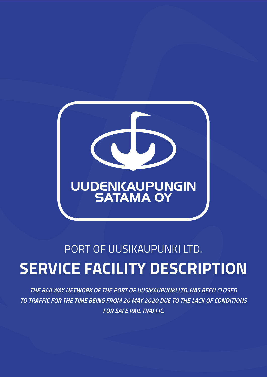

# Port of Uusikaupunki Ltd. **Service Facility Description**

*The railway network of the Port of Uusikaupunki Ltd. has been closed to traffic for the time being from 20 May 2020 due to the lack of conditions for safe rail traffic.*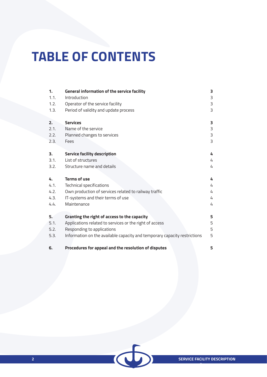# **TABLE OF CONTENTS**

| $\mathbf{1}$ .<br>1.1. | General information of the service facility<br>Introduction               | 3<br>3 |
|------------------------|---------------------------------------------------------------------------|--------|
| 1.2.                   | Operator of the service facility                                          | 3      |
| 1.3.                   | Period of validity and update process                                     | 3      |
|                        |                                                                           |        |
| 2.                     | <b>Services</b>                                                           | 3      |
| 2.1.                   | Name of the service                                                       | 3      |
| 2.2.                   | Planned changes to services                                               | 3      |
| 2.3.                   | Fees                                                                      | 3      |
|                        |                                                                           |        |
| 3.                     | <b>Service facility description</b>                                       | 4      |
| 3.1.                   | List of structures                                                        | 4      |
| 3.2.                   | Structure name and details                                                | 4      |
|                        |                                                                           |        |
| 4.                     | <b>Terms of use</b>                                                       | 4      |
| 4.1.                   | Technical specifications                                                  | 4      |
| 4.2.                   | Own production of services related to railway traffic                     | 4      |
| 4.3.                   | IT-systems and their terms of use                                         | 4      |
| 4.4.                   | Maintenance                                                               | 4      |
|                        |                                                                           |        |
| 5.                     | Granting the right of access to the capacity                              | 5      |
| 5.1.                   | Applications related to services or the right of access                   | 5      |
| 5.2.                   | Responding to applications                                                | 5      |
| 5.3.                   | Information on the available capacity and temporary capacity restrictions | 5      |
| 6.                     | Procedures for appeal and the resolution of disputes                      | 5      |

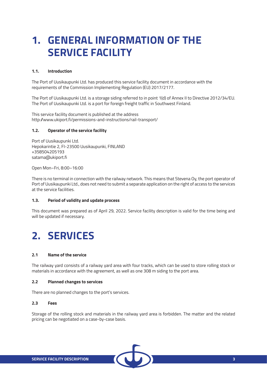# **1. General information of the service facility**

#### **1.1. Introduction**

The Port of Uusikaupunki Ltd. has produced this service facility document in accordance with the requirements of the Commission Implementing Regulation (EU) 2017/2177.

The Port of Uusikaupunki Ltd. is a storage siding referred to in point 1(d) of Annex II to Directive 2012/34/EU. The Port of Uusikaupunki Ltd. is a port for foreign freight traffic in Southwest Finland.

This service facility document is published at the address http://www.ukiport.fi/permissions-and-instructions/rail-transport/

#### **1.2. Operator of the service facility**

Port of Uusikaupunki Ltd. Hepokarintie 2, FI-23500 Uusikaupunki, FINLAND +358504205193 satama@ukiport.fi

Open Mon–Fri, 8:00–16:00

There is no terminal in connection with the railway network. This means that Stevena Oy, the port operator of Port of Uusikaupunki Ltd., does not need to submit a separate application on the right of access to the services at the service facilities.

#### **1.3. Period of validity and update process**

This document was prepared as of April 29, 2022. Service facility description is valid for the time being and will be updated if necessary.

## **2. Services**

#### **2.1 Name of the service**

The railway yard consists of a railway yard area with four tracks, which can be used to store rolling stock or materials in accordance with the agreement, as well as one 308 m siding to the port area.

#### **2.2 Planned changes to services**

There are no planned changes to the port's services.

#### **2.3 Fees**

Storage of the rolling stock and materials in the railway yard area is forbidden. The matter and the related pricing can be negotiated on a case-by-case basis.

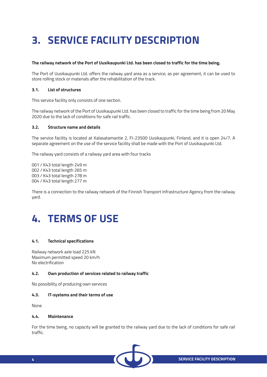# **3. Service facility description**

#### **The railway network of the Port of Uusikaupunki Ltd. has been closed to traffic for the time being.**

The Port of Uusikaupunki Ltd. offers the railway yard area as a service; as per agreement, it can be used to store rolling stock or materials after the rehabilitation of the track.

#### **3.1. List of structures**

This service facility only consists of one section.

The railway network of the Port of Uusikaupunki Ltd. has been closed to traffic for the time being from 20 May 2020 due to the lack of conditions for safe rail traffic.

#### **3.2. Structure name and details**

The service facility is located at Kalasatamantie 2, FI-23500 Uusikaupunki, Finland, and it is open 24/7. A separate agreement on the use of the service facility shall be made with the Port of Uusikaupunki Ltd.

The railway yard consists of a railway yard area with four tracks

001 / K43 total length 249 m 002 / K43 total length 265 m 003 / K43 total length 278 m 004 / K43 total length 277 m

There is a connection to the railway network of the Finnish Transport Infrastructure Agency from the railway yard.

## **4. Terms of use**

#### **4.1. Technical specifications**

Railway network axle load 225 kN Maximum permitted speed 20 km/h No electrification

#### **4.2. Own production of services related to railway traffic**

No possibility of producing own services

#### **4.3. IT-systems and their terms of use**

None

#### **4.4. Maintenance**

For the time being, no capacity will be granted to the railway yard due to the lack of conditions for safe rail traffic.